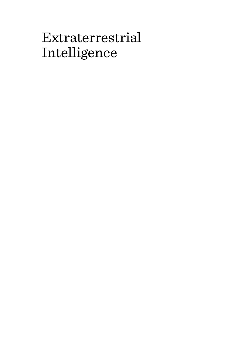# Extraterrestrial Intelligence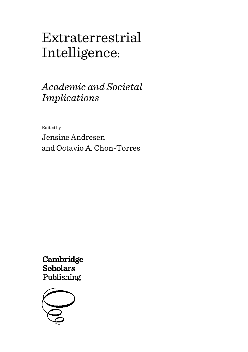# Extraterrestrial Intelligence:

# *Academic and Societal Implications*

Edited by

Jensine Andresen and Octavio A. Chon-Torres

Cambridge **Scholars** Publishing

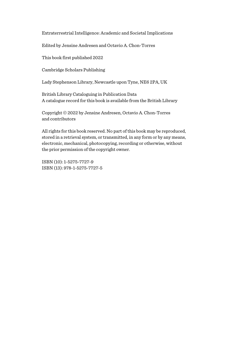Extraterrestrial Intelligence: Academic and Societal Implications

Edited by Jensine Andresen and Octavio A. Chon-Torres

This book first published 2022

Cambridge Scholars Publishing

Lady Stephenson Library, Newcastle upon Tyne, NE6 2PA, UK

British Library Cataloguing in Publication Data A catalogue record for this book is available from the British Library

Copyright © 2022 by Jensine Andresen, Octavio A. Chon-Torres and contributors

All rights for this book reserved. No part of this book may be reproduced, stored in a retrieval system, or transmitted, in any form or by any means, electronic, mechanical, photocopying, recording or otherwise, without the prior permission of the copyright owner.

ISBN (10): 1-5275-7727-9 ISBN (13): 978-1-5275-7727-5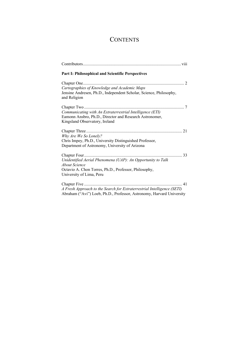## **CONTENTS**

| <b>Part I: Philosophical and Scientific Perspectives</b>                                                                                                          |
|-------------------------------------------------------------------------------------------------------------------------------------------------------------------|
| Cartographies of Knowledge and Academic Maps<br>Jensine Andresen, Ph.D., Independent Scholar, Science, Philosophy,<br>and Religion                                |
| Communicating with An Extraterrestrial Intelligence (ETI)<br>Eamonn Ansbro, Ph.D., Director and Research Astronomer,<br>Kingsland Observatory, Ireland            |
| Why Are We So Lonely?<br>Chris Impey, Ph.D., University Distinguished Professor,<br>Department of Astronomy, University of Arizona                                |
| Unidentified Aerial Phenomena (UAP): An Opportunity to Talk<br>About Science<br>Octavio A. Chon Torres, Ph.D., Professor, Philosophy,<br>University of Lima, Peru |
| A Fresh Approach to the Search for Extraterrestrial Intelligence (SETI)                                                                                           |

Abraham ("Avi") Loeb, Ph.D., Professor, Astronomy, Harvard University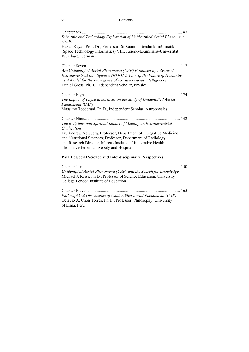#### vi Contents

#### **Part II: Social Science and Interdisciplinary Perspectives**

Chapter Ten ............................................................................................ 150 *Unidentified Aerial Phenomena (UAP) and the Search for Knowledge* Michael J. Reiss, Ph.D., Professor of Science Education, University College London Institute of Education

Chapter Eleven ....................................................................................... 165 *Philosophical Discussions of Unidentified Aerial Phenomena (UAP)* Octavio A. Chon Torres, Ph.D., Professor, Philosophy, University of Lima, Peru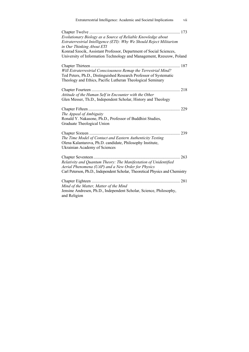| Extraterrestrial Intelligence: Academic and Societal Implications<br>vii                                                                                                                                                                                                                                        |
|-----------------------------------------------------------------------------------------------------------------------------------------------------------------------------------------------------------------------------------------------------------------------------------------------------------------|
| Evolutionary Biology as a Source of Reliable Knowledge about<br>Extraterrestrial Intelligence (ETI): Why We Should Reject Militarism<br>in Our Thinking About ETI<br>Konrad Szocik, Assistant Professor, Department of Social Sciences,<br>University of Information Technology and Management, Rzeszow, Poland |
| Will Extraterrestrial Consciousness Remap the Terrestrial Mind?<br>Ted Peters, Ph.D., Distinguished Research Professor of Systematic<br>Theology and Ethics, Pacific Lutheran Theological Seminary                                                                                                              |
| Attitude of the Human Self in Encounter with the Other<br>Glen Messer, Th.D., Independent Scholar, History and Theology                                                                                                                                                                                         |
| The Appeal of Ambiguity<br>Ronald Y. Nakasone, Ph.D., Professor of Buddhist Studies,<br>Graduate Theological Union                                                                                                                                                                                              |
| The Time Model of Contact and Eastern Authenticity Testing<br>Olena Kalantarova, Ph.D. candidate, Philosophy Institute,<br>Ukrainian Academy of Sciences                                                                                                                                                        |
| $\ldots$ 263<br>Relativity and Quantum Theory: The Manifestation of Unidentified<br>Aerial Phenomena (UAP) and a New Order for Physics<br>Carl Peterson, Ph.D., Independent Scholar, Theoretical Physics and Chemistry                                                                                          |
| Mind of the Matter, Matter of the Mind<br>Jensine Andresen, Ph.D., Independent Scholar, Science, Philosophy,<br>and Religion                                                                                                                                                                                    |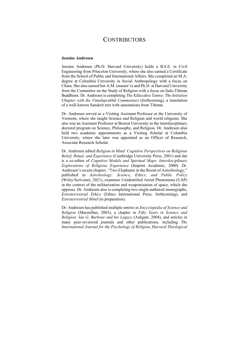### **CONTRIBUTORS**

#### **Jensine Andresen**

Jensine Andresen (Ph.D. Harvard University) holds a B.S.E. in Civil Engineering from Princeton University, where she also earned a Certificate from the School of Public and International Affairs. She completed an M.A. degree at Columbia University in Social Anthropology with a focus on China. She also earned her A.M. (master's) and Ph.D. at Harvard University from the Committee on the Study of Religion with a focus on Indo-Tibetan Buddhism. Dr. Andresen is completing *The Kālacakra Tantra: The Initiation Chapter with the Vimalaprabhā Commentary* (forthcoming), a translation of a well-known Sanskrit text with annotations from Tibetan.

Dr. Andresen served as a Visiting Assistant Professor at the University of Vermont, where she taught Science and Religion and world religions. She also was an Assistant Professor at Boston University in the interdisciplinary doctoral program on Science, Philosophy, and Religion. Dr. Andresen also held two academic appointments as a Visiting Scholar at Columbia University, where she later was appointed as an Officer of Research, Associate Research Scholar.

Dr. Andresen edited *Religion in Mind: Cognitive Perspectives on Religious Belief, Ritual, and Experience* (Cambridge University Press, 2001) and she is a co-editor of *Cognitive Models and Spiritual Maps: Interdisciplinary Explorations of Religious Experience* (Imprint Academic, 2000). Dr. Andresen's recent chapter, "Two Elephants in the Room of Astrobiology," published in *Astrobiology: Science, Ethics, and Public Policy* (Wiley/Scrivener, 2021), examines Unidentified Aerial Phenomena (UAP) in the context of the militarization and weaponization of space, which she opposes. Dr. Andresen also is completing two single-authored monographs, *Extraterrestrial Ethics* (Ethics International Press, forthcoming), and *Extraterrestrial Mind* (in preparation).

Dr. Andresen has published multiple entries in *Encyclopedia of Science and Religion* (Macmillan, 2003), a chapter in *Fifty Years in Science and Religion: Ian G. Barbour and his Legacy* (Ashgate, 2004), and articles in many peer-reviewed journals and other publications, including *The International Journal for the Psychology of Religion*, *Harvard Theological*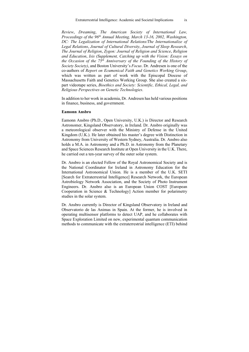*Review*, *Dreaming*, *The American Society of International Law, Proceedings of the 96<sup>th</sup> Annual Meeting, March 13-16, 2002, Washington, DC: The Legalization of International Relations/The Internationalize of Legal Relations*, *Journal of Cultural Diversity*, *Journal of Sleep Research*, *The Journal of Religion*, *Zygon: Journal of Religion and Science*, *Religion and Education*, *Isis (Supplement, Catching up with the Vision: Essays on the Occasion of the 75th Anniversary of the Founding of the History of Society Society)*, and Boston University's *Focus*. Dr. Andresen is one of the co-authors of *Report on Ecumenical Faith and Genetics Working Group*, which was written as part of work with the Episcopal Diocese of Massachusetts Faith and Genetics Working Group. She also created a sixpart videotape series, *Bioethics and Society: Scientific, Ethical, Legal, and Religious Perspectives on Genetic Technologies*.

In addition to her work in academia, Dr. Andresen has held various positions in finance, business, and government.

#### **Eamonn Ansbro**

Eamonn Ansbro (Ph.D., Open University, U.K.) is Director and Research Astronomer, Kingsland Observatory, in Ireland. Dr. Ansbro originally was a meteorological observer with the Ministry of Defense in the United Kingdom (U.K.). He later obtained his master's degree with Distinction in Astronomy from University of Western Sydney, Australia. Dr. Ansbro also holds a M.A. in Astronomy and a Ph.D. in Astronomy from the Planetary and Space Sciences Research Institute at Open University in the U.K. There, he carried out a ten-year survey of the outer solar system.

Dr. Ansbro is an elected Fellow of the Royal Astronomical Society and is the National Coordinator for Ireland in Astronomy Education for the International Astronomical Union. He is a member of the U.K. SETI [Search for Extraterrestrial Intelligence] Research Network, the European Astrobiology Network Association, and the Society of Photo Instrument Engineers. Dr. Ansbro also is an European Union COST [European Cooperation in Science & Technology] Action member for polarimetry studies in the solar system.

Dr. Ansbro currently is Director of Kingsland Observatory in Ireland and Observatorio de las Animas in Spain. At the former, he is involved in operating multisensor platforms to detect UAP, and he collaborates with Space Exploration Limited on new, experimental quantum communication methods to communicate with the extraterrestrial intelligence (ETI) behind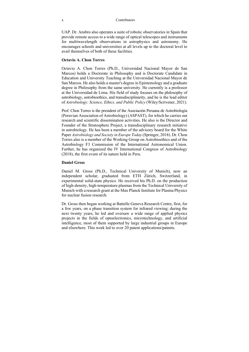UAP. Dr. Ansbro also operates a suite of robotic observatories in Spain that provide remote access to a wide range of optical telescopes and instruments for multiwavelength observations in astrophysics and astronomy. He encourages schools and universities at all levels up to the doctoral level to avail themselves of both of these facilities.

#### **Octavio A. Chon Torres**

Octavio A. Chon Torres (Ph.D., Universidad Nacional Mayor de San Marcos) holds a Doctorate in Philosophy and is Doctorate Candidate in Education and University Teaching at the Universidad Nacional Mayor de San Marcos. He also holds a master's degree in Epistemology and a graduate degree in Philosophy from the same university. He currently is a professor at the Universidad de Lima. His field of study focuses on the philosophy of astrobiology, astrobioethics, and transdisciplinarity, and he is the lead editor of *Astrobiology: Science, Ethics, and Public Policy* (Wiley/Scrivener, 2021).

Prof. Chon Torres is the president of the Asociación Peruana de Astrobiología (Peruvian Association of Astrobiology) (ASPAST), for which he carries out research and scientific dissemination activities. He also is the Director and Founder of the Stratosphere Project, a transdisciplinary research initiative in astrobiology. He has been a member of the advisory board for the White Paper *Astrobiology and Society in Europe Today* (Springer, 2018). Dr. Chon Torres also is a member of the Working Group on Astrobioethics and of the Astrobiology F3 Commission of the International Astronomical Union. Further, he has organized the IV International Congress of Astrobiology (2018), the first event of its nature held in Peru.

#### **Daniel Gross**

Daniel M. Gross (Ph.D., Technical University of Munich), now an independent scholar, graduated from ETH Zürich, Switzerland, in experimental solid-state physics. He received his Ph.D. on the production of high-density, high-temperature plasmas from the Technical University of Munich with a research grant at the Max Planck Institute for Plasma Physics for nuclear fusion research.

Dr. Gross then began working at Battelle Geneva Research Centre, first, for a few years, on a phase transition system for infrared viewing; during the next twenty years, he led and oversaw a wide range of applied physics projects in the fields of optoelectronics, microtechnology, and artificial intelligence, most of them supported by large industrial groups in Europe and elsewhere. This work led to over 20 patent applications/patents.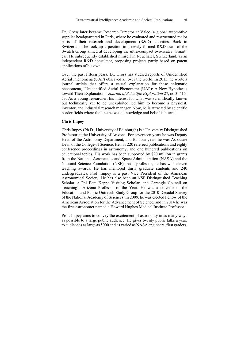Dr. Gross later became Research Director at Valeo, a global automotive supplier headquartered in Paris, where he evaluated and restructured major parts of their research and development (R&D) activities. Back in Switzerland, he took up a position in a newly formed R&D team of the Swatch Group aimed at developing the ultra-compact two-seater "Smart" car. He subsequently established himself in Neuchatel, Switzerland, as an independent R&D consultant, proposing projects partly based on patent applications of his own.

Over the past fifteen years, Dr. Gross has studied reports of Unidentified Aerial Phenomena (UAP) observed all over the world. In 2013, he wrote a journal article that offers a causal explanation for these enigmatic phenomena, "Unidentified Aerial Phenomena (UAP): A New Hypothesis toward Their Explanation," *Journal of Scientific Exploration* 27, no.3: 415- 53. As a young researcher, his interest for what was scientifically known but technically yet to be unexploited led him to become a physicist, inventor, and industrial research manager. Now, he is attracted by scientific border fields where the line between knowledge and belief is blurred.

#### **Chris Impey**

Chris Impey (Ph.D., University of Edinburgh) is a University Distinguished Professor at the University of Arizona. For seventeen years he was Deputy Head of the Astronomy Department, and for four years he was Associate Dean of the College of Science. He has 220 refereed publications and eighty conference proceedings in astronomy, and one hundred publications on educational topics. His work has been supported by \$20 million in grants from the National Aeronautics and Space Administration (NASA) and the National Science Foundation (NSF). As a professor, he has won eleven teaching awards. He has mentored thirty graduate students and 240 undergraduates. Prof. Impey is a past Vice President of the American Astronomical Society. He has also been an NSF Distinguished Teaching Scholar, a Phi Beta Kappa Visiting Scholar, and Carnegie Council on Teaching's Arizona Professor of the Year. He was a co-chair of the Education and Public Outreach Study Group for the 2010 Decadal Survey of the National Academy of Sciences. In 2009, he was elected Fellow of the American Association for the Advancement of Science, and in 2014 he was the first astronomer named a Howard Hughes Medical Institute Professor.

Prof. Impey aims to convey the excitement of astronomy in as many ways as possible to a large public audience. He gives twenty public talks a year, to audiences as large as 5000 and as varied as NASA engineers, first graders,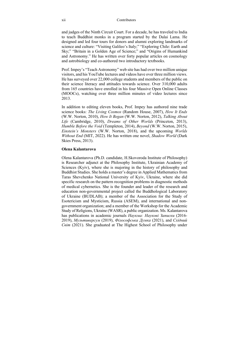and judges of the Ninth Circuit Court. For a decade, he has traveled to India to teach Buddhist monks in a program started by the Dalai Lama. He designed and led four tours for donors and alumni exploring landmarks of science and culture: "Visiting Galileo's Italy;" "Exploring Chile: Earth and Sky;" "Britain in a Golden Age of Science;" and "Origins of Humankind and Astronomy." He has written over forty popular articles on cosmology and astrobiology and co-authored two introductory textbooks.

Prof. Impey's "Teach Astronomy" web site has had over two million unique visitors, and his YouTube lectures and videos have over three million views. He has surveyed over 22,000 college students and members of the public on their science literacy and attitudes towards science. Over 310,000 adults from 165 countries have enrolled in his four Massive Open Online Classes (MOOCs), watching over three million minutes of video lectures since 2013.

In addition to editing eleven books, Prof. Impey has authored nine trade science books: *The Living Cosmos* (Random House, 2007), *How It Ends* (W.W. Norton, 2010), *How It Began* (W.W. Norton, 2012), *Talking About Life* (Cambridge, 2010), *Dreams of Other Worlds* (Princeton, 2013), *Humble Before the Void* (Templeton, 2014), *Beyond* (W.W. Norton, 2015), *Einstein's Monsters* (W.W. Norton, 2018), and the upcoming *Worlds Without End* (MIT, 2022). He has written one novel, *Shadow World* (Dark Skies Press, 2013).

#### **Olena Kalantarova**

Olena Kalantarova (Ph.D. candidate, H.Skovoroda Institute of Philosophy) is Researcher adjunct at the Philosophy Institute, Ukrainian Academy of Sciences (Kyiv), where she is majoring in the history of philosophy and Buddhist Studies. She holds a master's degree in Applied Mathematics from Taras Shevchenko National University of Kyiv, Ukraine, where she did specific research on the pattern recognition problems in diagnostic methods of medical cybernetics. She is the founder and leader of the research and education non-governmental project called the Buddhological Laboratory of Ukraine (BUDLAB); a member of the Association for the Study of Esotericism and Mysticism, Russia (ASEM), and international and nongovernment organization; and a member of the Workshop for the Academic Study of Religions, Ukraine (WASR), a public organization. Ms. Kalantarova has publications in academic journals *Наукма: Наукові Записки* (2016- 2019), *Мультиверсум* (2019), *Філософська Думка* (2021), and *Східний Світ* (2021). She graduated at The Highest School of Philosophy under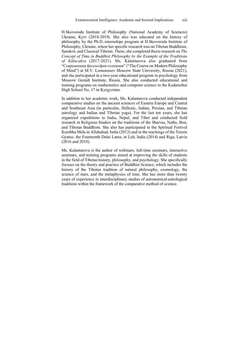H.Skovoroda Institute of Philosophy (National Academy of Sciences) Ukraine, Kyiv (2018-2019). She also was educated on the history of philosophy by the Ph.D.-internships program at H.Skovoroda Institute of Philosophy, Ukraine, where her specific research was on Tibetan Buddhism, Sanskrit, and Classical Tibetan. There, she completed thesis research on *The Concept of Time in Buddhist Philosophy by the Example of the Traditions of Kālacakra* (2017-2021). Ms. Kalantarova also graduated from "Современная философия сознания" ("The Course on Modern Philosophy of Mind") at M.V. Lomonosov Moscow State University, Russia (2021), and she participated in a two-year educational program in psychology from Moscow Gestalt Institute, Russia. She also conducted educational and training programs on mathematics and computer science in the Kadamzhai High School No. 17 in Kyrgyzstan.

In addition to her academic work, Ms. Kalantarova conducted independent comparative studies on the ancient sciences of Eastern Europe and Central and Southeast Asia (in particular, Hellenic, Indian, Persian, and Tibetan astrology and Indian and Tibetan yoga). For the last ten years, she has organized expeditions to India, Nepal, and Tibet and conducted field research in Religious Studies on the traditions of the Shaivas, Naths, Bon, and Tibetan Buddhists. She also has participated in the Spiritual Festival Kumbha Mela in Allahabad, India (2013) and in the teachings of the Tenzin Gyatso, the Fourteenth Dalai Lama, in Leh, India (2014) and Riga, Latvia (2016 and 2018).

Ms. Kalantarova is the author of webinars, full-time seminars, interactive seminars, and training programs aimed at improving the skills of students in the field of Tibetan history, philosophy, and psychology. She specifically focuses on the theory and practice of Buddhist Science, which includes the history of the Tibetan tradition of natural philosophy, cosmology, the science of stars, and the metaphysics of time. She has more than twenty years of experience in interdisciplinary studies of astronomical-astrological traditions within the framework of the comparative method of science.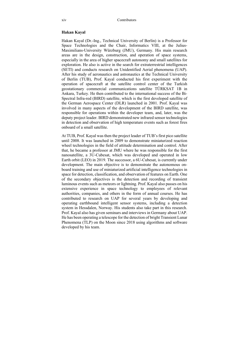#### **Hakan Kayal**

Hakan Kayal (Dr.-Ing., Technical University of Berlin) is a Professor for Space Technologies and the Chair, Informatics VIII, at the Julius-Maximilians-University Würzburg (JMU), Germany. His main research areas are in the design, construction, and operation of space systems, especially in the area of higher spacecraft autonomy and small satellites for exploration. He also is active in the search for extraterrestrial intelligences (SETI) and conducts research on Unidentified Aerial phenomena (UAP). After his study of aeronautics and astronautics at the Technical University of Berlin (TUB), Prof. Kayal conducted his first experiment with the operation of spacecraft at the satellite control center of the Turkish geostationary commercial communications satellite TÜRKSAT 1B in Ankara, Turkey. He then contributed to the international success of the Bi-Spectral Infra-red (BIRD) satellite, which is the first developed satellite of the German Aerospace Center (DLR) launched in 2001. Prof. Kayal was involved in many aspects of the development of the BIRD satellite, was responsible for operations within the developer team, and, later, was the deputy project leader. BIRD demonstrated new infrared sensor technologies in detection and observation of high temperature events such as forest fires onboard of a small satellite.

At TUB, Prof. Kayal was then the project leader of TUB's first pico satellite until 2008. It was launched in 2009 to demonstrate miniaturized reaction wheel technologies in the field of attitude determination and control. After that, he became a professor at JMU where he was responsible for the first nanosatellite, a 3U-Cubesat, which was developed and operated in low Earth orbit (LEO) in 2019. The successor, a 6U-Cubesat, is currently under development. The main objective is to demonstrate the autonomous onboard training and use of miniaturized artificial intelligence technologies in space for detection, classification, and observation of features on Earth. One of the secondary objectives is the detection and recording of transient luminous events such as meteors or lightning. Prof. Kayal also passes on his extensive experience in space technology to employees of relevant authorities, companies, and others in the form of annual courses. He has contributed to research on UAP for several years by developing and operating earthbound intelligent sensor systems, including a detection system in Hessdalen, Norway. His students also take part in this research. Prof. Kayal also has given seminars and interviews in Germany about UAP. He has been operating a telescope for the detection of bright Transient Lunar Phenomena (TLP) on the Moon since 2018 using algorithms and software developed by his team.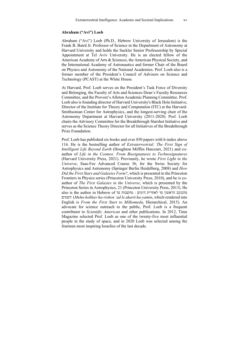### **Abraham ("Avi") Loeb**

Abraham ("Avi") Loeb (Ph.D., Hebrew University of Jerusalem) is the Frank B. Baird Jr. Professor of Science in the Department of Astronomy at Harvard University and holds the Sackler Senior Professorship by Special Appointment at Tel Aviv University. He is an elected fellow of the American Academy of Arts & Sciences, the American Physical Society, and the International Academy of Astronautics and former Chair of the Board on Physics and Astronomy of the National Academies. Prof. Loeb also is a former member of the President's Council of Advisors on Science and Technology (PCAST) at the White House.

At Harvard, Prof. Loeb serves on the President's Task Force of Diversity and Belonging, the Faculty of Arts and Sciences Dean's Faculty Resources Committee, and the Provost's Allston Academic Planning Committee. Prof. Loeb also is founding director of Harvard University's Black Hole Initiative, Director of the Institute for Theory and Computation (ITC) at the Harvard-Smithsonian Center for Astrophysics, and the longest-serving chair of the Astronomy Department at Harvard University (2011-2020). Prof. Loeb chairs the Advisory Committee for the Breakthrough Starshot Initiative and serves as the Science Theory Director for all Initiatives of the Breakthrough Prize Foundation.

Prof. Loeb has published six books and over 850 papers with h-index above 116. He is the bestselling author of *Extraterrestrial: The First Sign of Intelligent Life Beyond Earth* (Houghton Mifflin Harcourt, 2021) and coauthor of *Life in the Cosmos: From Biosignatures to Technosignatures* (Harvard University Press, 2021). Previously, he wrote *First Light in the Universe*, Saas-Fee Advanced Course 36, for the Swiss Society for Astrophysics and Astronomy (Springer Berlin Heidelberg, 2008) and *How Did the First Stars and Galaxies Form?*, which is presented in the Princeton Frontiers in Physics series (Princeton University Press, 2010), and he is coauthor of *The First Galaxies in the Universe*, which is presented by the Princeton Series in Astrophysics, 21 (Princeton University Press, 2013). He also is the author in Hebrew of מהכוכב הראשון עד לאחרית הימים : מח השמים) *Meha-kokhav ha-rishon 'ad le aḥarit ha-yamin*, which rendered into English is *From the First Start to Milkomeda*, Hierarchical, 2015). An advocate for science outreach to the public, Prof. Loeb is a frequent contributor to *Scientific American* and other publications. In 2012, Time Magazine selected Prof. Loeb as one of the twenty-five most influential people in the study of space, and in 2020 Loeb was selected among the fourteen most inspiring Israelies of the last decade.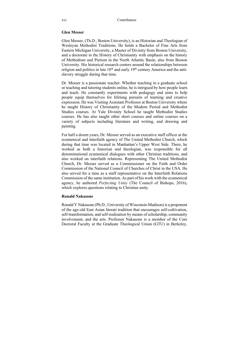### **Glen Messer**

Glen Messer, (Th.D., Boston University), is an Historian and Theologian of Wesleyan Methodist Traditions. He holds a Bachelor of Fine Arts from Eastern Michigan University, a Master of Divinity from Boston University, and a doctorate in the History of Christianity with emphasis on the history of Methodism and Pietism in the North Atlantic Basin, also from Boston University. His historical research centers around the relationships between religion and politics in late  $18<sup>th</sup>$  and early  $19<sup>th</sup>$  century America and the antislavery struggle during that time.

Dr. Messer is a passionate teacher. Whether teaching in a graduate school or teaching and tutoring students online, he is intrigued by how people learn and teach. He constantly experiments with pedagogy and aims to help people equip themselves for lifelong pursuits of learning and creative expression. He was Visiting Assistant Professor at Boston University where he taught History of Christianity of the Modern Period and Methodist Studies courses. At Yale Divinity School he taught Methodist Studies courses. He has also taught other short courses and online courses on a variety of subjects including literature and writing, and drawing and painting.

For half a dozen years, Dr. Messer served as an executive staff officer at the ecumenical and interfaith agency of The United Methodist Church, which during that time was located in Manhattan's Upper West Side. There, he worked as both a historian and theologian, was responsible for all denominational ecumenical dialogues with other Christian traditions, and also worked on interfaith relations. Representing The United Methodist Church, Dr. Messer served as a Commissioner on the Faith and Order Commission of the National Council of Churches of Christ in the USA. He also served for a time as a staff representative on the Interfaith Relations Commission of the same institution. As part of his work with the ecumenical agency, he authored *Perfecting Unity* (The Council of Bishops, 2016), which explores questions relating to Christian unity.

### **Ronald Nakasone**

Ronald Y Nakasone (Ph.D., University of Wisconsin-Madison) is a proponent of the age-old East Asian literati tradition that encourages self-cultivation, self-transformation, and self-realization by means of scholarship, community involvement, and the arts. Professor Nakasone is a member of the Core Doctoral Faculty at the Graduate Theological Union (GTU) in Berkeley,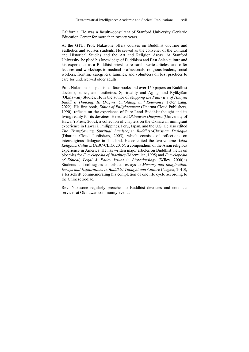California. He was a faculty-consultant of Stanford University Geriatric Education Center for more than twenty years.

At the GTU, Prof. Nakasone offers courses on Buddhist doctrine and aesthetics and advises students. He served as the convener of the Cultural and Historical Studies and the Art and Religion Areas. At Stanford University, he plied his knowledge of Buddhism and East Asian culture and his experience as a Buddhist priest to research, write articles, and offer lectures and workshops to medical professionals, religious leaders, social workers, frontline caregivers, families, and volunteers on best practices to care for underserved older adults.

Prof. Nakasone has published four books and over 150 papers on Buddhist doctrine, ethics, and aesthetics, Spirituality and Aging, and Ryūkyūan (Okinawan) Studies. He is the author of *Mapping the Pathways of Huayen Buddhist Thinking: Its Origins, Unfolding, and Relevance* (Peter Lang, 2022). His first book, *Ethics of Enlightenment* (Dharma Cloud Publishers, 1990), reflects on the experience of Pure Land Buddhist thought and its living reality for its devotees. He edited *Okinawan Diaspora* (University of Hawai`i Press, 2002), a collection of chapters on the Okinawan immigrant experience in Hawai`i, Philippines, Peru, Japan, and the U.S. He also edited *The Transforming Spiritual Landscape: Buddhist-Christian Dialogue* (Dharma Cloud Publishers, 2005), which consists of reflections on interreligious dialogue in Thailand. He co-edited the two-volume *Asian Religious Cultures* (ABC-CLIO, 2015), a compendium of the Asian religious experience in America. He has written major articles on Buddhist views on bioethics for *Encyclopedia of Bioethics* (Macmillan, 1995) and *Encyclopedia of Ethical, Legal & Policy Issues in Biotechnology* (Wiley, 2000).is Students and colleagues contributed essays to *Memory and Imagination, Essays and Explorations in Buddhist Thought and Culture* (Nagata, 2010), a festschrift commemorating his completion of one life cycle according to the Chinese zodiac.

Rev. Nakasone regularly preaches to Buddhist devotees and conducts services at Okinawan community events.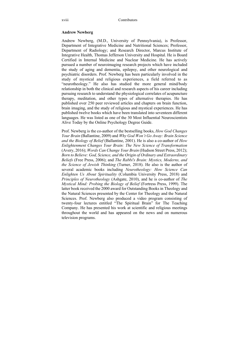#### **Andrew Newberg**

Andrew Newberg, (M.D., University of Pennsylvania), is Professor, Department of Integrative Medicine and Nutritional Sciences; Professor, Department of Radiology; and Research Director, Marcus Institute of Integrative Health, Thomas Jefferson University and Hospital. He is Board Certified in Internal Medicine and Nuclear Medicine. He has actively pursued a number of neuroimaging research projects which have included the study of aging and dementia, epilepsy, and other neurological and psychiatric disorders. Prof. Newberg has been particularly involved in the study of mystical and religious experiences, a field referred to as "neurotheology." He also has studied the more general mind/body relationship in both the clinical and research aspects of his career including pursuing research to understand the physiological correlates of acupuncture therapy, meditation, and other types of alternative therapies. He has published over 250 peer reviewed articles and chapters on brain function, brain imaging, and the study of religious and mystical experiences. He has published twelve books which have been translated into seventeen different languages. He was listed as one of the 30 Most Influential Neuroscientists Alive Today by the Online Psychology Degree Guide.

Prof. Newberg is the co-author of the bestselling books, *How God Changes Your Brain* (Ballantine, 2009) and *Why God Won't Go Away: Brain Science and the Biology of Belief* (Ballantine, 2001). He is also a co-author of *How Enlightenment Changes Your Brain: The New Science of Transformation* (Avery, 2016); *Words Can Change Your Brain* (Hudson Street Press, 2012); *Born to Believe: God, Science, and the Origin of Ordinary and Extraordinary Beliefs* (Free Press, 2006); and *The Rabbi's Brain: Mystics, Moderns, and the Science of Jewish Thinking* (Turner, 2018). He also is the author of several academic books including *Neurotheology: How Science Can Enlighten Us About Spirituality* (Columbia University Press, 2018) and *Principles of Neurotheology* (Ashgate, 2010), and he is co-author of *The Mystical Mind: Probing the Biology of Belief* (Fortress Press, 1999). The latter book received the 2000 award for Outstanding Books in Theology and the Natural Sciences presented by the Center for Theology and the Natural Sciences. Prof. Newberg also produced a video program consisting of twenty-four lectures entitled "The Spiritual Brain" for The Teaching Company. He has presented his work at scientific and religious meetings throughout the world and has appeared on the news and on numerous television programs.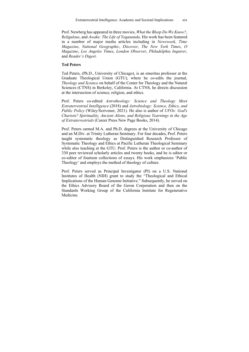Prof. Newberg has appeared in three movies, *What the Bleep Do We Know?*, *Religulous*, and *Awake: The Life of Yogananda*. His work has been featured in a number of major media articles including in *Newsweek*, *Time Magazine*, *National Geographic*, *Discover*, *The New York Times*, *O Magazine*, *Los Angeles Times*, *London Observer*, *Philadelphia Inquirer*, and *Reader's Digest*.

### **Ted Peters**

Ted Peters, (Ph.D., University of Chicago), is an emeritus professor at the Graduate Theological Union (GTU), where he co-edits the journal, *Theology and Science* on behalf of the Center for Theology and the Natural Sciences (CTNS) in Berkeley, California. At CTNS, he directs discussion at the intersection of science, religion, and ethics.

Prof. Peters co-edited *Astrotheology: Science and Theology Meet Extraterrestrial Intelligence* (2018) and *Astrobiology: Science, Ethics, and Public Policy* (Wiley/Scrivener, 2021). He also is author of *UFOs: God's Chariots? Spirituality, Ancient Aliens, and Religious Yearnings in the Age of Extraterrestrials* (Career Press New Page Books, 2014).

Prof. Peters earned M.A. and Ph.D. degrees at the University of Chicago and an M.Div. at Trinity Lutheran Seminary. For four decades, Prof. Peters taught systematic theology as Distinguished Research Professor of Systematic Theology and Ethics at Pacific Lutheran Theological Seminary while also teaching at the GTU. Prof. Peters is the author or co-author of 330 peer reviewed scholarly articles and twenty books, and he is editor or co-editor of fourteen collections of essays. His work emphasizes 'Public Theology' and employs the method of theology of culture.

Prof. Peters served as Principal Investigator (PI) on a U.S. National Institutes of Health (NIH) grant to study the "Theological and Ethical Implications of the Human Genome Initiative." Subsequently, he served on the Ethics Advisory Board of the Geron Corporation and then on the Standards Working Group of the California Institute for Regenerative Medicine.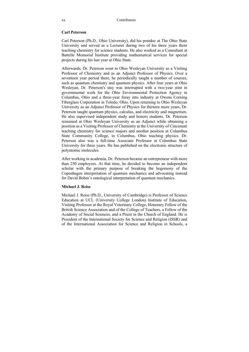### **Carl Peterson**

Carl Peterson (Ph.D., Ohio University), did his postdoc at The Ohio State University and served as a Lecturer during two of his three years there teaching chemistry for science students. He also worked as a Consultant at Battelle Memorial Institute providing mathematical services for special projects during his last year at Ohio State.

Afterwards, Dr. Peterson went to Ohio Wesleyan University as a Visiting Professor of Chemistry and as an Adjunct Professor of Physics. Over a seventeen year period there, he periodically taught a number of courses, such as quantum chemistry and quantum physics. After four years at Ohio Wesleyan, Dr. Peterson's stay was interrupted with a two-year stint in governmental work for the Ohio Environmental Protection Agency in Columbus, Ohio and a three-year foray into industry at Owens Corning Fiberglass Corporation in Toledo, Ohio. Upon returning to Ohio Wesleyan University as an Adjunct Professor of Physics for thirteen more years, Dr. Peterson taught quantum physics, calculus, and electricity and magnetism. He also supervised independent study and honors students. Dr. Peterson remained at Ohio Wesleyan University as an Adjunct while obtaining a position as a Visiting Professor of Chemistry at the University of Cincinnati teaching chemistry for science majors and another position at Columbus State Community College, in Columbus, Ohio teaching physics. Dr. Peterson also was a full-time Associate Professor at Columbus State University for three years. He has published on the electronic structure of polyatomic molecules.

After working in academia, Dr. Peterson became an entrepreneur with more than 250 employees. At that time, he decided to become an independent scholar with the primary purpose of breaking the hegemony of the Copenhagen interpretation of quantum mechanics and advocating instead for David Bohm's ontological interpretation of quantum mechanics.

### **Michael J. Reiss**

Michael J. Reiss (Ph.D., University of Cambridge) is Professor of Science Education at UCL (University College London) Institute of Education, Visiting Professor at the Royal Veterinary College, Honorary Fellow of the British Science Association and of the College of Teachers, a Fellow of the Academy of Social Sciences, and a Priest in the Church of England. He is President of the International Society for Science and Religion (ISSR) and of the International Association for Science and Religion in Schools, a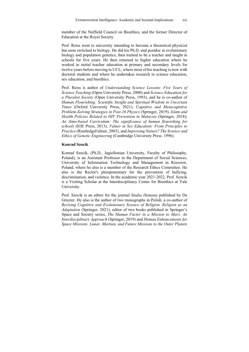member of the Nuffield Council on Bioethics, and the former Director of Education at the Royal Society.

Prof. Reiss went to university intending to become a theoretical physicist but soon switched to biology. He did his Ph.D. and postdoc in evolutionary biology and population genetics, then trained to be a teacher and taught in schools for five years. He then returned to higher education where he worked in initial teacher education at primary and secondary levels for twelve years before moving to UCL, where most of his teaching is now with doctoral students and where he undertakes research in science education, sex education, and bioethics.

Prof. Reiss is author of *Understanding Science Lessons: Five Years of Science Teaching* (Open University Press, 2000) and *Science Education for a Pluralist Society* (Open University Press, 1993), and he is co-author of *Human Flourishing: Scientific Insight and Spiritual Wisdom in Uncertain Times* (Oxford University Press, 2021), *Cognitive and Metacognitive Problem-Solving Strategies in Post-16 Physics* (Springer, 2019), *Islam and Health Policies Related to HIV Prevention in Malaysia* (Springer, 2018); *An Aims-based Curriculum: The significance of human flourishing for schools* (IOE Press, 2013), *Values in Sex Education: From Principles to Practice* (RoutledgeFalmer, 2003), and *Improving Nature? The Science and Ethics of Genetic Engineering* (Cambridge University Press. 1996).

### **Konrad Szocik**

Konrad Szocik, (Ph.D., Jagiellonian University, Faculty of Philosophy, Poland), is an Assistant Professor in the Department of Social Sciences, University of Information Technology and Management in Rzeszow, Poland, where he also is a member of the Research Ethics Committee. He also is the Rector's plenipotentiary for the prevention of bullying, discrimination, and violence. In the academic year 2021-2022, Prof. Szocik is a Visiting Scholar at the Interdisciplinary Center for Bioethics at Yale University.

Prof. Szocik is an editor for the journal *Studia Humana* published by De Gruyter. He also is the author of two monographs in Polish, a co-author of *Revising Cognitive and Evolutionary Science of Religion. Religion as an Adaptation* (Springer, 2021), editor of two books published in Springer's Space and Society series, *The Human Factor in a Mission to Mars. An Interdisciplinary Approach* (Springer, 2019) and *Human Enhancements for Space Missions. Lunar, Martian, and Future Missions to the Outer Planets*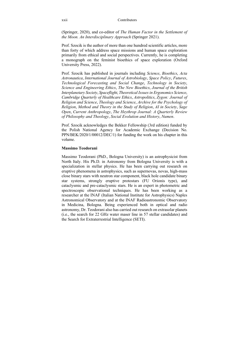(Springer, 2020), and co-editor of *The Human Factor in the Settlement of the Moon. An Interdisciplinary Approach* (Springer 2021).

Prof. Szocik is the author of more than one hundred scientific articles, more than forty of which address space missions and human space exploration primarily from ethical and social perspectives. Currently, he is completing a monograph on the feminist bioethics of space exploration (Oxford University Press, 2022).

Prof. Szocik has published in journals including *Science*, *Bioethics*, *Acta Astronautica*, *International Journal of Astrobiology*, *Space Policy*, *Futures*, *Technological Forecasting and Social Change*, *Technology in Society*, *Science and Engineering Ethics*, *The New Bioethics*, *Journal of the British Interplanetary Society*, *Spaceflight*, *Theoretical Issues in Ergonomics Science*, *Cambridge Quarterly of Healthcare Ethics*, *Astropolitics*, *Zygon: Journal of Religion and Science*, *Theology and Science*, *Archive for the Psychology of Religion*, *Method and Theory in the Study of Religion*, *AI in Society*, *Sage Open*, *Current Anthropology*, *The Heythrop Journal: A Quarterly Review of Philosophy and Theology*, *Social Evolution and History*, *Numen*.

Prof. Szocik acknowledges the Bekker Fellowship (3rd edition) funded by the Polish National Agency for Academic Exchange (Decision No. PPN/BEK/2020/1/00012/DEC/1) for funding the work on his chapter in this volume.

### **Massimo Teodorani**

Massimo Teodorani (PhD., Bologna University) is an astrophysicist from North Italy. His Ph.D. in Astronomy from Bologna University is with a specialization in stellar physics. He has been carrying out research on eruptive phenomena in astrophysics, such as supernovas, novas, high-mass close binary stars with neutron star component, black hole candidate binary star systems, strongly eruptive protostars (FU Orionis type), and cataclysmic and pre-cataclysmic stars. He is an expert in photometric and spectroscopic observational techniques. He has been working as a researcher at the INAF (Italian National Institute for Astrophysics) Naples Astronomical Observatory and at the INAF Radioastronomic Observatory in Medicina, Bologna. Being experienced both in optical and radio astronomy, Dr. Teodorani also has carried out research on extrasolar planets (i.e., the search for 22 GHz water maser line in 57 stellar candidates) and the Search for Extraterrestrial Intelligence (SETI).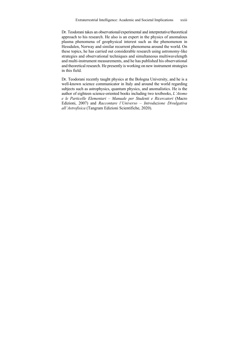Dr. Teodorani takes an observational/experimental and interpretative/theoretical approach to his research. He also is an expert in the physics of anomalous plasma phenomena of geophysical interest such as the phenomenon in Hessdalen, Norway and similar recurrent phenomena around the world. On these topics, he has carried out considerable research using astronomy-like strategies and observational techniques and simultaneous multiwavelength and multi-instrument measurements, and he has published his observational and theoretical research. He presently is working on new instrument strategies in this field.

Dr. Teodorani recently taught physics at the Bologna University, and he is a well-known science communicator in Italy and around the world regarding subjects such as astrophysics, quantum physics, and anomalistics. He is the author of eighteen science-oriented books including two textbooks, *L'Atomo e le Particelle Elementari – Manuale per Studenti e Ricercatori* (Macro Edizioni, 2007) and *Raccontare l'Universo – Introduzione Divulgativa all'Astrofisica* (Tangram Edizioni Scientifiche, 2020).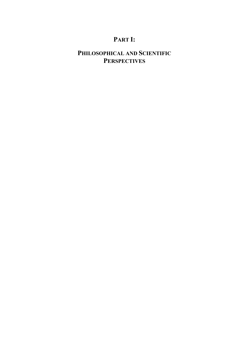# **PART I:**

# **PHILOSOPHICAL AND SCIENTIFIC PERSPECTIVES**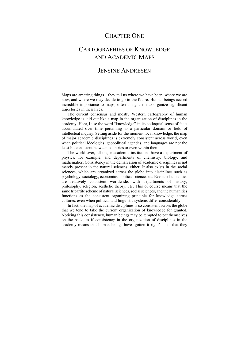### CHAPTER ONE

## CARTOGRAPHIES OF KNOWLEDGE AND ACADEMIC MAPS

### JENSINE ANDRESEN

Maps are amazing things—they tell us where we have been, where we are now, and where we may decide to go in the future. Human beings accord incredible importance to maps, often using them to organize significant trajectories in their lives.

The current consensus and mostly Western cartography of human knowledge is laid out like a map in the organization of disciplines in the academy. Here, I use the word "knowledge" in its colloquial sense of facts accumulated over time pertaining to a particular domain or field of intellectual inquiry. Setting aside for the moment local knowledge, the map of major academic disciplines is extremely consistent across world, even when political ideologies, geopolitical agendas, and languages are not the least bit consistent between countries or even within them.

The world over, all major academic institutions have a department of physics, for example, and departments of chemistry, biology, and mathematics. Consistency in the demarcation of academic disciplines is not merely present in the natural sciences, either. It also exists in the social sciences, which are organized across the globe into disciplines such as psychology, sociology, economics, political science, etc. Even the humanities are relatively consistent worldwide, with departments of history, philosophy, religion, aesthetic theory, etc. This of course means that the same tripartite scheme of natural sciences, social sciences, and the humanities functions as the consistent organizing principle for knowledge across cultures, even when political and linguistic systems differ considerably.

In fact, the map of academic disciplines is so consistent across the globe that we tend to take the current organization of knowledge for granted. Noticing this consistency, human beings may be tempted to pat themselves on the back, as if consistency in the organization of disciplines in the academy means that human beings have 'gotten it right'—i.e., that they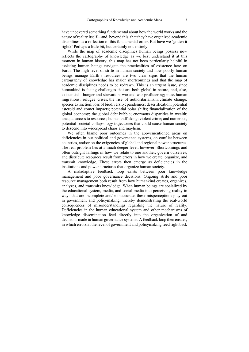have uncovered something fundamental about how the world works and the nature of reality itself—and, beyond this, that they have organized academic disciplines as a reflection of this fundamental order. But have we 'gotten it right?' Perhaps a little bit, but certainly not entirely.

While the map of academic disciplines human beings possess now reflects the cartography of knowledge as we best understand it at this moment in human history, this map has not been particularly helpful in assisting human beings navigate the practicalities of existence here on Earth. The high level of strife in human society and how poorly human beings manage Earth's resources are two clear signs that the human cartography of knowledge has major shortcomings and that the map of academic disciplines needs to be redrawn. This is an urgent issue, since humankind is facing challenges that are both global in nature, and, also, existential—hunger and starvation; war and war profiteering; mass human migrations; refugee crises; the rise of authoritarianism; climate change; species extinction; loss of biodiversity; pandemics; desertification; potential asteroid and comet impacts; potential polar shifts; financialization of the global economy; the global debt bubble; enormous disparities in wealth; unequal access to resources; human trafficking; violent crime; and numerous, potential societal collapsology trajectories that could cause human society to descend into widespread chaos and mayhem.

We often blame poor outcomes in the abovementioned areas on deficiencies in our political and governance systems, on conflict between countries, and/or on the exigencies of global and regional power structures. The real problem lies at a much deeper level, however. Shortcomings and often outright failings in how we relate to one another, govern ourselves, and distribute resources result from errors in how we create, organize, and transmit knowledge. These errors then emerge as deficiencies in the institutions and power structures that organize human society.

A maladaptive feedback loop exists between poor knowledge management and poor governance decisions. Ongoing strife and poor resource management both result from how humankind creates, organizes, analyzes, and transmits knowledge. When human beings are socialized by the educational system, media, and social media into perceiving reality in ways that are incomplete and/or inaccurate, these misperceptions play out in government and policymaking, thereby demonstrating the real-world consequences of misunderstandings regarding the nature of reality. Deficiencies in the human educational system and other mechanisms of knowledge dissemination feed directly into the organization of and decisions made in human governance systems. A feedback loop then ensues, in which errors at the level of government and policymaking feed right back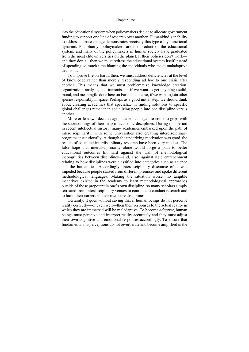#### 4 Chapter One

into the educational system when policymakers decide to allocate government funding to support one line of research over another. Humankind's inability to address climate change demonstrates precisely this type of dysfunctional dynamic. Put bluntly, policymakers are the product of the educational system, and many of the policymakers in human society have graduated from the most elite universities on the planet. If their policies don't work and they don't—then we must redress the educational system itself instead of spending so much time blaming the individuals who make maladaptive decisions.

To improve life on Earth, then, we must address deficiencies at the level of knowledge rather than merely responding ad hoc to one crisis after another. This means that we must problematize knowledge creation, organization, analysis, and transmission if we want to get anything useful, moral, and meaningful done here on Earth—and, also, if we want to join other species responsibly in space. Perhaps as a good initial step, we should think about creating academies that specialize in finding solutions to specific global challenges rather than socializing people into one discipline versus another.

More or less two decades ago, academics began to come to grips with the shortcomings of their map of academic disciplines. During this period in recent intellectual history, many academics embarked upon the path of interdisciplinarity, with some universities also creating interdisciplinary programs institutionally. Although the underlying motivation was good, the results of so-called interdisciplinary research have been very modest. The false hope that interdisciplinarity alone would forge a path to better educational outcomes hit hard against the wall of methodological incongruities between disciplines—and, also, against rigid entrenchment relating to how disciplines were classified into categories such as science and the humanities. Accordingly, interdisciplinary discourse often was impeded because people started from different premises and spoke different methodological languages. Making the situation worse, no tangible incentives existed in the academy to learn methodological approaches outside of those prepotent in one's own discipline, so many scholars simply retreated from interdisciplinary venues to continue to conduct research and to build their careers in their own core disciplines.

Certainly, it goes without saying that if human beings do not perceive reality correctly—or even well—then their responses to the actual reality in which they are immersed will be maladaptive. To become *adaptive*, human beings must perceive and interpret reality accurately and they must adjust their own cognitive and emotional responses accordingly. To ensure that fundamental misperceptions do not reverberate and become amplified in the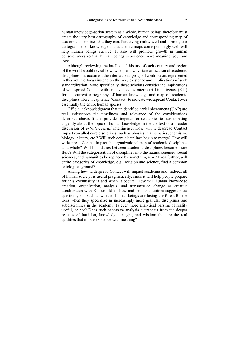human knowledge-action system as a whole, human beings therefore must create the very best cartography of knowledge and corresponding map of academic disciplines that they can. Perceiving reality well and forming our cartographies of knowledge and academic maps correspondingly well will help human beings survive. It also will promote growth in human consciousness so that human beings experience more meaning, joy, and love.

Although reviewing the intellectual history of each country and region of the world would reveal how, when, and why standardization of academic disciplines has occurred, the international group of contributors represented in this volume focus instead on the very existence and implications of such standardization. More specifically, these scholars consider the implications of widespread Contact with an advanced extraterrestrial intelligence (ETI) for the current cartography of human knowledge and map of academic disciplines. Here, I capitalize "Contact" to indicate widespread Contact over essentially the entire human species.

Official acknowledgment that unidentified aerial phenomena (UAP) are real underscores the timeliness and relevance of the considerations described above. It also provides impetus for academics to start thinking cogently about the topic of human knowledge in the context of a broader discussion of *extraterrestrial* intelligence. How will widespread Contact impact so-called core disciplines, such as physics, mathematics, chemistry, biology, history, etc.? Will such core disciplines begin to merge? How will widespread Contact impact the organizational map of academic disciplines as a whole? Will boundaries between academic disciplines become more fluid? Will the categorization of disciplines into the natural sciences, social sciences, and humanities be replaced by something new? Even further, will entire categories of knowledge, e.g., religion and science, find a common ontological ground?

Asking how widespread Contact will impact academia and, indeed, all of human society, is useful pragmatically, since it will help people prepare for this eventuality if and when it occurs. How will human knowledge creation, organization, analysis, and transmission change as creative acculturation with ETI unfolds? These and similar questions suggest meta questions, too, such as whether human beings are losing the forest for the trees when they specialize in increasingly more granular disciplines and subdisciplines in the academy. Is ever more analytical parsing of reality useful, or not? Does such excessive analysis distract us from the deeper reaches of intuition, knowledge, insight, and wisdom that are the real qualities that imbue existence with meaning?